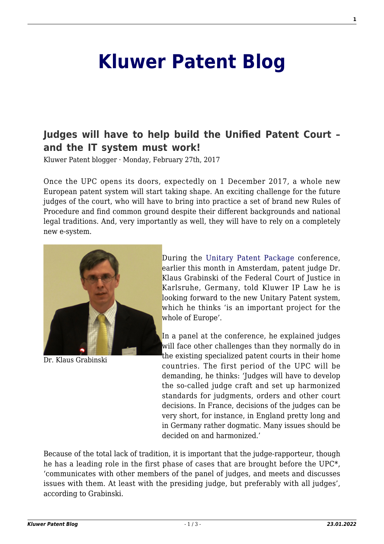## **[Kluwer Patent Blog](http://patentblog.kluweriplaw.com/)**

## **[Judges will have to help build the Unified Patent Court –](http://patentblog.kluweriplaw.com/2017/02/27/judges-will-have-to-help-build-the-unified-patent-court-and-the-it-must-work/) [and the IT system must work!](http://patentblog.kluweriplaw.com/2017/02/27/judges-will-have-to-help-build-the-unified-patent-court-and-the-it-must-work/)**

Kluwer Patent blogger · Monday, February 27th, 2017

Once the UPC opens its doors, expectedly on 1 December 2017, a whole new European patent system will start taking shape. An exciting challenge for the future judges of the court, who will have to bring into practice a set of brand new Rules of Procedure and find common ground despite their different backgrounds and national legal traditions. And, very importantly as well, they will have to rely on a completely new e-system.



Dr. Klaus Grabinski

During the [Unitary Patent Package](http://www.unitarypatentpackage.com) conference, earlier this month in Amsterdam, patent judge Dr. Klaus Grabinski of the Federal Court of Justice in Karlsruhe, Germany, told Kluwer IP Law he is looking forward to the new Unitary Patent system, which he thinks 'is an important project for the whole of Europe'.

In a panel at the conference, he explained judges will face other challenges than they normally do in the existing specialized patent courts in their home countries. The first period of the UPC will be demanding, he thinks: 'Judges will have to develop the so-called judge craft and set up harmonized standards for judgments, orders and other court decisions. In France, decisions of the judges can be very short, for instance, in England pretty long and in Germany rather dogmatic. Many issues should be decided on and harmonized.'

Because of the total lack of tradition, it is important that the judge-rapporteur, though he has a leading role in the first phase of cases that are brought before the UPC\*, 'communicates with other members of the panel of judges, and meets and discusses issues with them. At least with the presiding judge, but preferably with all judges', according to Grabinski.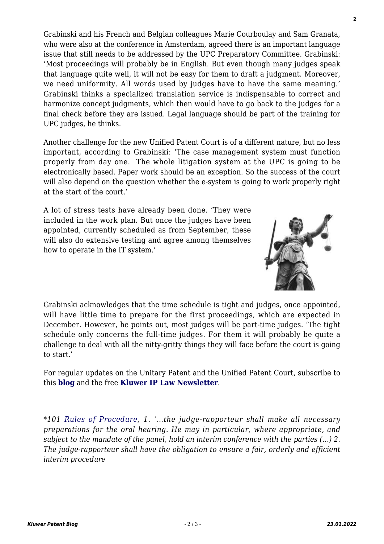Grabinski and his French and Belgian colleagues Marie Courboulay and Sam Granata, who were also at the conference in Amsterdam, agreed there is an important language issue that still needs to be addressed by the UPC Preparatory Committee. Grabinski: 'Most proceedings will probably be in English. But even though many judges speak that language quite well, it will not be easy for them to draft a judgment. Moreover, we need uniformity. All words used by judges have to have the same meaning.' Grabinski thinks a specialized translation service is indispensable to correct and harmonize concept judgments, which then would have to go back to the judges for a final check before they are issued. Legal language should be part of the training for UPC judges, he thinks.

Another challenge for the new Unified Patent Court is of a different nature, but no less important, according to Grabinski: 'The case management system must function properly from day one. The whole litigation system at the UPC is going to be electronically based. Paper work should be an exception. So the success of the court will also depend on the question whether the e-system is going to work properly right at the start of the court.'

A lot of stress tests have already been done. 'They were included in the work plan. But once the judges have been appointed, currently scheduled as from September, these will also do extensive testing and agree among themselves how to operate in the IT system.'



Grabinski acknowledges that the time schedule is tight and judges, once appointed, will have little time to prepare for the first proceedings, which are expected in December. However, he points out, most judges will be part-time judges. 'The tight schedule only concerns the full-time judges. For them it will probably be quite a challenge to deal with all the nitty-gritty things they will face before the court is going to start.'

For regular updates on the Unitary Patent and the Unified Patent Court, subscribe to this **[blog](http://kluwerpatentblog.com/newsletter/?email=&mailing_list_widget_submit=Subscribe)** and the free **[Kluwer IP Law Newsletter](http://genons.kluwerlawonline.com/public/subscription/KIPL/subscribe/?_ga=1.119291072.835536738.1418219570)**.

*\*101 [Rules of Procedure](https://www.unified-patent-court.org/sites/default/files/UPC-Rules-of-Procedure.pdf), 1. '…the judge-rapporteur shall make all necessary preparations for the oral hearing. He may in particular, where appropriate, and subject to the mandate of the panel, hold an interim conference with the parties (…) 2. The judge-rapporteur shall have the obligation to ensure a fair, orderly and efficient interim procedure*